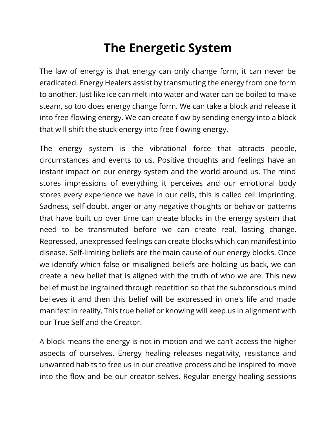# **The Energetic System**

The law of energy is that energy can only change form, it can never be eradicated. Energy Healers assist by transmuting the energy from one form to another. Just like ice can melt into water and water can be boiled to make steam, so too does energy change form. We can take a block and release it into free-flowing energy. We can create flow by sending energy into a block that will shift the stuck energy into free flowing energy.

The energy system is the vibrational force that attracts people, circumstances and events to us. Positive thoughts and feelings have an instant impact on our energy system and the world around us. The mind stores impressions of everything it perceives and our emotional body stores every experience we have in our cells, this is called cell imprinting. Sadness, self-doubt, anger or any negative thoughts or behavior patterns that have built up over time can create blocks in the energy system that need to be transmuted before we can create real, lasting change. Repressed, unexpressed feelings can create blocks which can manifest into disease. Self-limiting beliefs are the main cause of our energy blocks. Once we identify which false or misaligned beliefs are holding us back, we can create a new belief that is aligned with the truth of who we are. This new belief must be ingrained through repetition so that the subconscious mind believes it and then this belief will be expressed in one's life and made manifest in reality. This true belief or knowing will keep us in alignment with our True Self and the Creator.

A block means the energy is not in motion and we can't access the higher aspects of ourselves. Energy healing releases negativity, resistance and unwanted habits to free us in our creative process and be inspired to move into the flow and be our creator selves. Regular energy healing sessions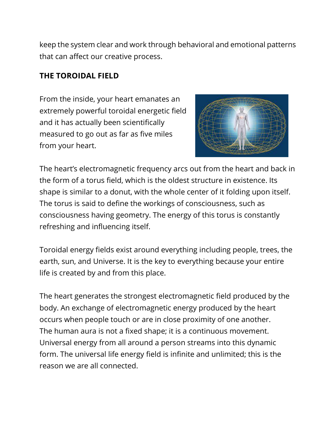keep the system clear and work through behavioral and emotional patterns that can affect our creative process.

## **THE TOROIDAL FIELD**

From the inside, your heart emanates an extremely powerful toroidal energetic field and it has actually been scientifically measured to go out as far as five miles from your heart.



The heart's electromagnetic frequency arcs out from the heart and back in the form of a torus field, which is the oldest structure in existence. Its shape is similar to a donut, with the whole center of it folding upon itself. The torus is said to define the workings of consciousness, such as consciousness having geometry. The energy of this torus is constantly refreshing and influencing itself.

Toroidal energy fields exist around everything including people, trees, the earth, sun, and Universe. It is the key to everything because your entire life is created by and from this place.

The heart generates the strongest electromagnetic field produced by the body. An exchange of electromagnetic energy produced by the heart occurs when people touch or are in close proximity of one another. The human aura is not a fixed shape; it is a continuous movement. Universal energy from all around a person streams into this dynamic form. The universal life energy field is infinite and unlimited; this is the reason we are all connected.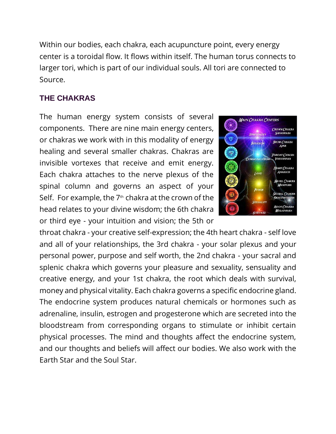Within our bodies, each chakra, each acupuncture point, every energy center is a toroidal flow. It flows within itself. The human torus connects to larger tori, which is part of our individual souls. All tori are connected to Source.

## **THE CHAKRAS**

The human energy system consists of several components. There are nine main energy centers, or chakras we work with in this modality of energy healing and several smaller chakras. Chakras are invisible vortexes that receive and emit energy. Each chakra attaches to the nerve plexus of the spinal column and governs an aspect of your Self. For example, the  $7<sup>th</sup>$  chakra at the crown of the head relates to your divine wisdom; the 6th chakra or third eye - your intuition and vision; the 5th or



throat chakra - your creative self-expression; the 4th heart chakra - self love and all of your relationships, the 3rd chakra - your solar plexus and your personal power, purpose and self worth, the 2nd chakra - your sacral and splenic chakra which governs your pleasure and sexuality, sensuality and creative energy, and your 1st chakra, the root which deals with survival, money and physical vitality. Each chakra governs a specific endocrine gland. The endocrine system produces natural chemicals or hormones such as adrenaline, insulin, estrogen and progesterone which are secreted into the bloodstream from corresponding organs to stimulate or inhibit certain physical processes. The mind and thoughts affect the endocrine system, and our thoughts and beliefs will affect our bodies. We also work with the Earth Star and the Soul Star.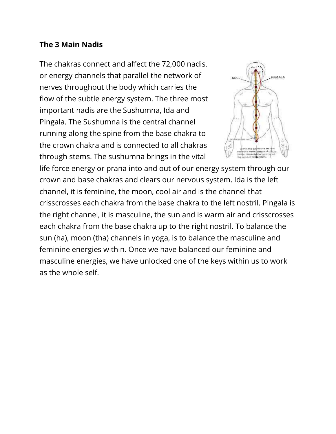### **The 3 Main Nadis**

The chakras connect and affect the 72,000 nadis, or energy channels that parallel the network of nerves throughout the body which carries the flow of the subtle energy system. The three most important nadis are the Sushumna, Ida and Pingala. The Sushumna is the central channel running along the spine from the base chakra to the crown chakra and is connected to all chakras through stems. The sushumna brings in the vital



life force energy or prana into and out of our energy system through our crown and base chakras and clears our nervous system. Ida is the left channel, it is feminine, the moon, cool air and is the channel that crisscrosses each chakra from the base chakra to the left nostril. Pingala is the right channel, it is masculine, the sun and is warm air and crisscrosses each chakra from the base chakra up to the right nostril. To balance the sun (ha), moon (tha) channels in yoga, is to balance the masculine and feminine energies within. Once we have balanced our feminine and masculine energies, we have unlocked one of the keys within us to work as the whole self.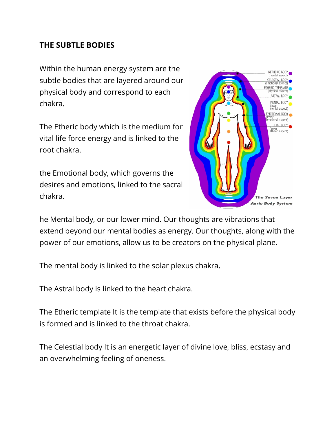### **THE SUBTLE BODIES**

Within the human energy system are the subtle bodies that are layered around our physical body and correspond to each chakra.

The Etheric body which is the medium for vital life force energy and is linked to the root chakra.

the Emotional body, which governs the desires and emotions, linked to the sacral chakra.



he Mental body, or our lower mind. Our thoughts are vibrations that extend beyond our mental bodies as energy. Our thoughts, along with the power of our emotions, allow us to be creators on the physical plane.

The mental body is linked to the solar plexus chakra.

The Astral body is linked to the heart chakra.

The Etheric template It is the template that exists before the physical body is formed and is linked to the throat chakra.

The Celestial body It is an energetic layer of divine love, bliss, ecstasy and an overwhelming feeling of oneness.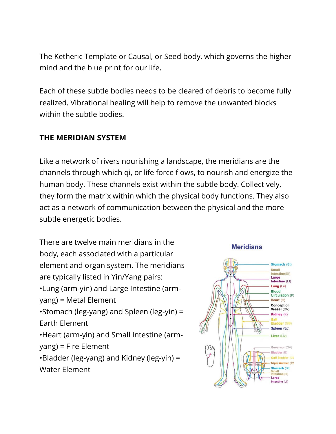The Ketheric Template or Causal, or Seed body, which governs the higher mind and the blue print for our life.

Each of these subtle bodies needs to be cleared of debris to become fully realized. Vibrational healing will help to remove the unwanted blocks within the subtle bodies.

## **THE MERIDIAN SYSTEM**

Like a network of rivers nourishing a landscape, the meridians are the channels through which qi, or life force flows, to nourish and energize the human body. These channels exist within the subtle body. Collectively, they form the matrix within which the physical body functions. They also act as a network of communication between the physical and the more subtle energetic bodies.

There are twelve main meridians in the body, each associated with a particular element and organ system. The meridians are typically listed in Yin/Yang pairs: •Lung (arm-yin) and Large Intestine (armyang) = Metal Element •Stomach (leg-yang) and Spleen (leg-yin) = Earth Element •Heart (arm-yin) and Small Intestine (armyang) = Fire Element •Bladder (leg-yang) and Kidney (leg-yin) = Water Element

#### **Meridians**

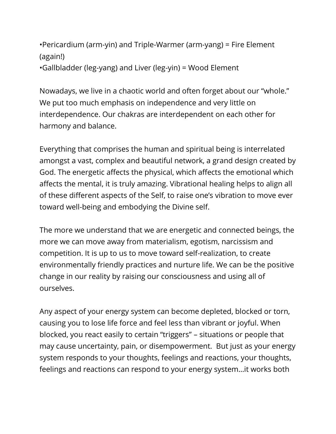```
•Pericardium (arm-yin) and Triple-Warmer (arm-yang) = Fire Element 
(again!)
•Gallbladder (leg-yang) and Liver (leg-yin) = Wood Element
```
Nowadays, we live in a chaotic world and often forget about our "whole." We put too much emphasis on independence and very little on interdependence. Our chakras are interdependent on each other for harmony and balance.

Everything that comprises the human and spiritual being is interrelated amongst a vast, complex and beautiful network, a grand design created by God. The energetic affects the physical, which affects the emotional which affects the mental, it is truly amazing. Vibrational healing helps to align all of these different aspects of the Self, to raise one's vibration to move ever toward well-being and embodying the Divine self.

The more we understand that we are energetic and connected beings, the more we can move away from materialism, egotism, narcissism and competition. It is up to us to move toward self-realization, to create environmentally friendly practices and nurture life. We can be the positive change in our reality by raising our consciousness and using all of ourselves.

Any aspect of your energy system can become depleted, blocked or torn, causing you to lose life force and feel less than vibrant or joyful. When blocked, you react easily to certain "triggers" – situations or people that may cause uncertainty, pain, or disempowerment. But just as your energy system responds to your thoughts, feelings and reactions, your thoughts, feelings and reactions can respond to your energy system…it works both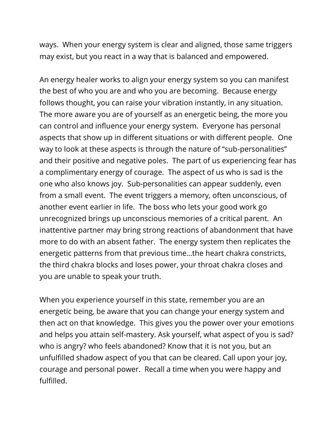ways. When your energy system is clear and aligned, those same triggers may exist, but you react in a way that is balanced and empowered.

An energy healer works to align your energy system so you can manifest the best of who you are and who you are becoming. Because energy follows thought, you can raise your vibration instantly, in any situation. The more aware you are of yourself as an energetic being, the more you can control and influence your energy system. Everyone has personal aspects that show up in different situations or with different people. One way to look at these aspects is through the nature of "sub-personalities" and their positive and negative poles. The part of us experiencing fear has a complimentary energy of courage. The aspect of us who is sad is the one who also knows joy. Sub-personalities can appear suddenly, even from a small event. The event triggers a memory, often unconscious, of another event earlier in life. The boss who lets your good work go unrecognized brings up unconscious memories of a critical parent. An inattentive partner may bring strong reactions of abandonment that have more to do with an absent father. The energy system then replicates the energetic patterns from that previous time…the heart chakra constricts, the third chakra blocks and loses power, your throat chakra closes and you are unable to speak your truth.

When you experience yourself in this state, remember you are an energetic being, be aware that you can change your energy system and then act on that knowledge. This gives you the power over your emotions and helps you attain self-mastery. Ask yourself, what aspect of you is sad? who is angry? who feels abandoned? Know that it is not you, but an unfulfilled shadow aspect of you that can be cleared. Call upon your joy, courage and personal power. Recall a time when you were happy and fulfilled.